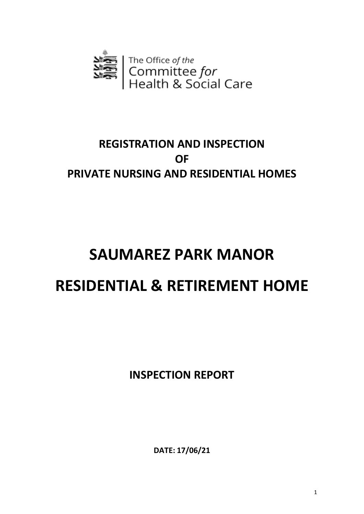

# **REGISTRATION AND INSPECTION OF PRIVATE NURSING AND RESIDENTIAL HOMES**

# **SAUMAREZ PARK MANOR RESIDENTIAL & RETIREMENT HOME**

**INSPECTION REPORT**

**DATE: 17/06/21**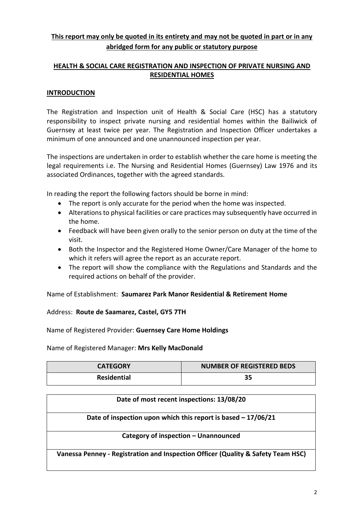# **This report may only be quoted in its entirety and may not be quoted in part or in any abridged form for any public or statutory purpose**

## **HEALTH & SOCIAL CARE REGISTRATION AND INSPECTION OF PRIVATE NURSING AND RESIDENTIAL HOMES**

#### **INTRODUCTION**

The Registration and Inspection unit of Health & Social Care (HSC) has a statutory responsibility to inspect private nursing and residential homes within the Bailiwick of Guernsey at least twice per year. The Registration and Inspection Officer undertakes a minimum of one announced and one unannounced inspection per year.

The inspections are undertaken in order to establish whether the care home is meeting the legal requirements i.e. The Nursing and Residential Homes (Guernsey) Law 1976 and its associated Ordinances, together with the agreed standards.

In reading the report the following factors should be borne in mind:

- The report is only accurate for the period when the home was inspected.
- Alterations to physical facilities or care practices may subsequently have occurred in the home.
- Feedback will have been given orally to the senior person on duty at the time of the visit.
- Both the Inspector and the Registered Home Owner/Care Manager of the home to which it refers will agree the report as an accurate report.
- The report will show the compliance with the Regulations and Standards and the required actions on behalf of the provider.

Name of Establishment: **Saumarez Park Manor Residential & Retirement Home**

#### Address: **Route de Saamarez, Castel, GY5 7TH**

Name of Registered Provider: **Guernsey Care Home Holdings**

Name of Registered Manager: **Mrs Kelly MacDonald**

| <b>CATEGORY</b>    | <b>NUMBER OF REGISTERED BEDS</b> |
|--------------------|----------------------------------|
| <b>Residential</b> | 35                               |

| Date of most recent inspections: 13/08/20                                        |
|----------------------------------------------------------------------------------|
| Date of inspection upon which this report is based $-17/06/21$                   |
| Category of inspection - Unannounced                                             |
| Vanessa Penney - Registration and Inspection Officer (Quality & Safety Team HSC) |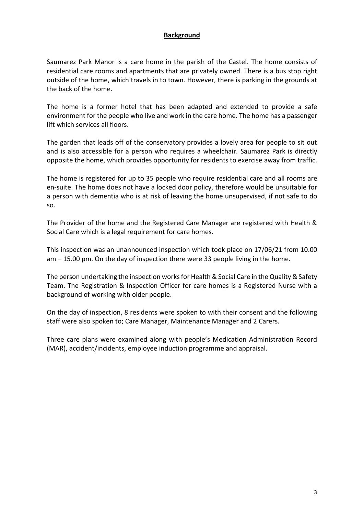#### **Background**

Saumarez Park Manor is a care home in the parish of the Castel. The home consists of residential care rooms and apartments that are privately owned. There is a bus stop right outside of the home, which travels in to town. However, there is parking in the grounds at the back of the home.

The home is a former hotel that has been adapted and extended to provide a safe environment for the people who live and work in the care home. The home has a passenger lift which services all floors.

The garden that leads off of the conservatory provides a lovely area for people to sit out and is also accessible for a person who requires a wheelchair. Saumarez Park is directly opposite the home, which provides opportunity for residents to exercise away from traffic.

The home is registered for up to 35 people who require residential care and all rooms are en-suite. The home does not have a locked door policy, therefore would be unsuitable for a person with dementia who is at risk of leaving the home unsupervised, if not safe to do so.

The Provider of the home and the Registered Care Manager are registered with Health & Social Care which is a legal requirement for care homes.

This inspection was an unannounced inspection which took place on 17/06/21 from 10.00 am – 15.00 pm. On the day of inspection there were 33 people living in the home.

The person undertaking the inspection worksfor Health & Social Care in the Quality & Safety Team. The Registration & Inspection Officer for care homes is a Registered Nurse with a background of working with older people.

On the day of inspection, 8 residents were spoken to with their consent and the following staff were also spoken to; Care Manager, Maintenance Manager and 2 Carers.

Three care plans were examined along with people's Medication Administration Record (MAR), accident/incidents, employee induction programme and appraisal.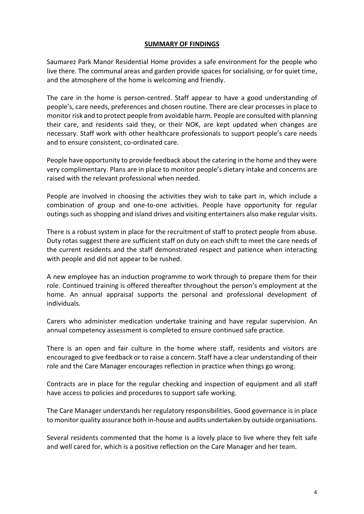#### **SUMMARY OF FINDINGS**

Saumarez Park Manor Residential Home provides a safe environment for the people who live there. The communal areas and garden provide spaces for socialising, or for quiet time, and the atmosphere of the home is welcoming and friendly.

The care in the home is person-centred. Staff appear to have a good understanding of people's, care needs, preferences and chosen routine. There are clear processes in place to monitor risk and to protect people from avoidable harm. People are consulted with planning their care, and residents said they, or their NOK, are kept updated when changes are necessary. Staff work with other healthcare professionals to support people's care needs and to ensure consistent, co-ordinated care.

People have opportunity to provide feedback about the catering in the home and they were very complimentary. Plans are in place to monitor people's dietary intake and concerns are raised with the relevant professional when needed.

People are involved in choosing the activities they wish to take part in, which include a combination of group and one-to-one activities. People have opportunity for regular outings such as shopping and island drives and visiting entertainers also make regular visits.

There is a robust system in place for the recruitment of staff to protect people from abuse. Duty rotas suggest there are sufficient staff on duty on each shift to meet the care needs of the current residents and the staff demonstrated respect and patience when interacting with people and did not appear to be rushed.

A new employee has an induction programme to work through to prepare them for their role. Continued training is offered thereafter throughout the person's employment at the home. An annual appraisal supports the personal and professional development of individuals.

Carers who administer medication undertake training and have regular supervision. An annual competency assessment is completed to ensure continued safe practice.

There is an open and fair culture in the home where staff, residents and visitors are encouraged to give feedback or to raise a concern. Staff have a clear understanding of their role and the Care Manager encourages reflection in practice when things go wrong.

Contracts are in place for the regular checking and inspection of equipment and all staff have access to policies and procedures to support safe working.

The Care Manager understands her regulatory responsibilities. Good governance is in place to monitor quality assurance both in-house and audits undertaken by outside organisations.

Several residents commented that the home is a lovely place to live where they felt safe and well cared for, which is a positive reflection on the Care Manager and her team.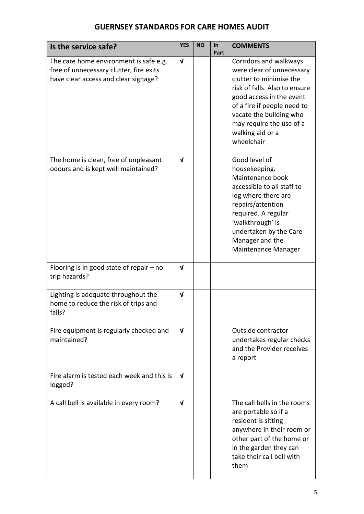# **GUERNSEY STANDARDS FOR CARE HOMES AUDIT**

| Is the service safe?                                                                                                      | <b>YES</b>   | <b>NO</b> | In<br>Part | <b>COMMENTS</b>                                                                                                                                                                                                                                                     |
|---------------------------------------------------------------------------------------------------------------------------|--------------|-----------|------------|---------------------------------------------------------------------------------------------------------------------------------------------------------------------------------------------------------------------------------------------------------------------|
| The care home environment is safe e.g.<br>free of unnecessary clutter, fire exits<br>have clear access and clear signage? | $\mathbf{v}$ |           |            | Corridors and walkways<br>were clear of unnecessary<br>clutter to minimise the<br>risk of falls. Also to ensure<br>good access in the event<br>of a fire if people need to<br>vacate the building who<br>may require the use of a<br>walking aid or a<br>wheelchair |
| The home is clean, free of unpleasant<br>odours and is kept well maintained?                                              | $\mathbf v$  |           |            | Good level of<br>housekeeping.<br>Maintenance book<br>accessible to all staff to<br>log where there are<br>repairs/attention<br>required. A regular<br>'walkthrough' is<br>undertaken by the Care<br>Manager and the<br>Maintenance Manager                         |
| Flooring is in good state of repair $-$ no<br>trip hazards?                                                               | $\mathbf v$  |           |            |                                                                                                                                                                                                                                                                     |
| Lighting is adequate throughout the<br>home to reduce the risk of trips and<br>falls?                                     | $\mathbf v$  |           |            |                                                                                                                                                                                                                                                                     |
| Fire equipment is regularly checked and<br>maintained?                                                                    | $\mathbf v$  |           |            | Outside contractor<br>undertakes regular checks<br>and the Provider receives<br>a report                                                                                                                                                                            |
| Fire alarm is tested each week and this is<br>logged?                                                                     | $\mathbf v$  |           |            |                                                                                                                                                                                                                                                                     |
| A call bell is available in every room?                                                                                   | $\mathbf{v}$ |           |            | The call bells in the rooms<br>are portable so if a<br>resident is sitting<br>anywhere in their room or<br>other part of the home or<br>in the garden they can<br>take their call bell with<br>them                                                                 |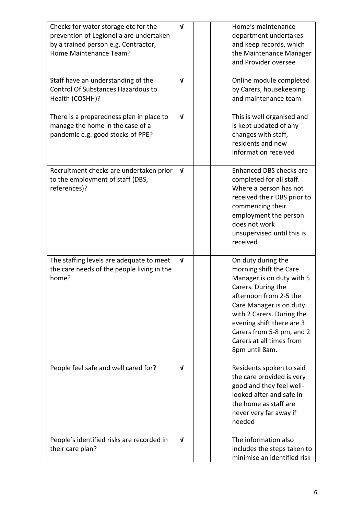| Checks for water storage etc for the<br>prevention of Legionella are undertaken<br>by a trained person e.g. Contractor,<br>Home Maintenance Team? | $\mathbf v$  | Home's maintenance<br>department undertakes<br>and keep records, which<br>the Maintenance Manager<br>and Provider oversee                                                                                                                                                                 |
|---------------------------------------------------------------------------------------------------------------------------------------------------|--------------|-------------------------------------------------------------------------------------------------------------------------------------------------------------------------------------------------------------------------------------------------------------------------------------------|
| Staff have an understanding of the<br><b>Control Of Substances Hazardous to</b><br>Health (COSHH)?                                                | V            | Online module completed<br>by Carers, housekeeping<br>and maintenance team                                                                                                                                                                                                                |
| There is a preparedness plan in place to<br>manage the home in the case of a<br>pandemic e.g. good stocks of PPE?                                 | $\mathbf{v}$ | This is well organised and<br>is kept updated of any<br>changes with staff,<br>residents and new<br>information received                                                                                                                                                                  |
| Recruitment checks are undertaken prior<br>to the employment of staff (DBS,<br>references)?                                                       | $\mathbf{V}$ | Enhanced DBS checks are<br>completed for all staff.<br>Where a person has not<br>received their DBS prior to<br>commencing their<br>employment the person<br>does not work<br>unsupervised until this is<br>received                                                                      |
| The staffing levels are adequate to meet<br>the care needs of the people living in the<br>home?                                                   | $\mathbf v$  | On duty during the<br>morning shift the Care<br>Manager is on duty with 5<br>Carers. During the<br>afternoon from 2-5 the<br>Care Manager is on duty<br>with 2 Carers. During the<br>evening shift there are 3<br>Carers from 5-8 pm, and 2<br>Carers at all times from<br>8pm until 8am. |
| People feel safe and well cared for?                                                                                                              | $\mathbf v$  | Residents spoken to said<br>the care provided is very<br>good and they feel well-<br>looked after and safe in<br>the home as staff are<br>never very far away if<br>needed                                                                                                                |
| People's identified risks are recorded in<br>their care plan?                                                                                     | V            | The information also<br>includes the steps taken to<br>minimise an identified risk                                                                                                                                                                                                        |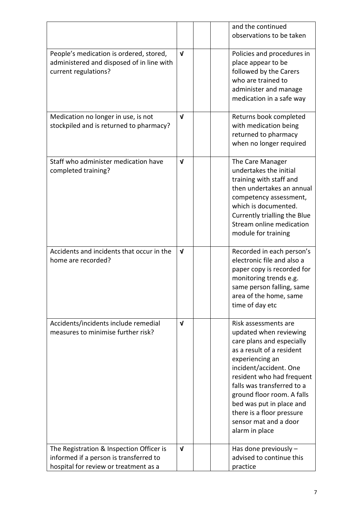|                                                                                                                   | and the continued<br>observations to be taken                                                                                                                                                                                                  |
|-------------------------------------------------------------------------------------------------------------------|------------------------------------------------------------------------------------------------------------------------------------------------------------------------------------------------------------------------------------------------|
|                                                                                                                   |                                                                                                                                                                                                                                                |
| People's medication is ordered, stored,<br>V<br>administered and disposed of in line with<br>current regulations? | Policies and procedures in<br>place appear to be<br>followed by the Carers<br>who are trained to<br>administer and manage<br>medication in a safe way                                                                                          |
| $\mathbf{v}$<br>Medication no longer in use, is not<br>stockpiled and is returned to pharmacy?                    | Returns book completed<br>with medication being<br>returned to pharmacy<br>when no longer required                                                                                                                                             |
| Staff who administer medication have<br>V<br>completed training?                                                  | The Care Manager<br>undertakes the initial<br>training with staff and<br>then undertakes an annual<br>competency assessment,<br>which is documented.<br>Currently trialling the Blue<br>Stream online medication<br>module for training        |
| Accidents and incidents that occur in the<br>$\mathbf v$<br>home are recorded?                                    | Recorded in each person's<br>electronic file and also a<br>paper copy is recorded for<br>monitoring trends e.g.<br>same person falling, same<br>area of the home, same<br>time of day etc                                                      |
| Accidents/incidents include remedial<br>$\mathbf v$<br>measures to minimise further risk?                         | Risk assessments are<br>updated when reviewing<br>care plans and especially<br>as a result of a resident<br>experiencing an<br>incident/accident. One<br>resident who had frequent<br>falls was transferred to a<br>ground floor room. A falls |
|                                                                                                                   | bed was put in place and<br>there is a floor pressure<br>sensor mat and a door<br>alarm in place                                                                                                                                               |
| The Registration & Inspection Officer is<br>$\mathbf v$<br>informed if a person is transferred to                 | Has done previously $-$<br>advised to continue this                                                                                                                                                                                            |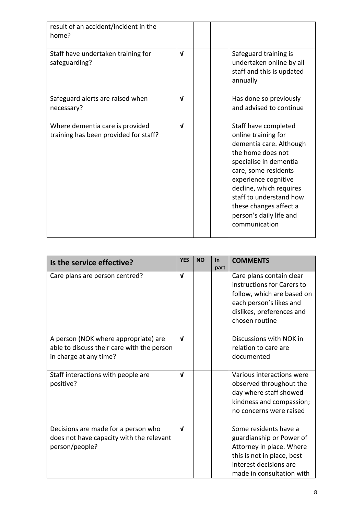| result of an accident/incident in the<br>home?                           |              |                                                                                                                                                                                                                                                                                                   |
|--------------------------------------------------------------------------|--------------|---------------------------------------------------------------------------------------------------------------------------------------------------------------------------------------------------------------------------------------------------------------------------------------------------|
| Staff have undertaken training for<br>safeguarding?                      | $\mathbf{v}$ | Safeguard training is<br>undertaken online by all<br>staff and this is updated<br>annually                                                                                                                                                                                                        |
| Safeguard alerts are raised when<br>necessary?                           | $\mathbf{v}$ | Has done so previously<br>and advised to continue                                                                                                                                                                                                                                                 |
| Where dementia care is provided<br>training has been provided for staff? | $\mathbf{v}$ | Staff have completed<br>online training for<br>dementia care. Although<br>the home does not<br>specialise in dementia<br>care, some residents<br>experience cognitive<br>decline, which requires<br>staff to understand how<br>these changes affect a<br>person's daily life and<br>communication |

| Is the service effective?                                                                                    | <b>YES</b>   | <b>NO</b> | $\ln$<br>part | <b>COMMENTS</b>                                                                                                                                                    |
|--------------------------------------------------------------------------------------------------------------|--------------|-----------|---------------|--------------------------------------------------------------------------------------------------------------------------------------------------------------------|
| Care plans are person centred?                                                                               | $\mathbf{v}$ |           |               | Care plans contain clear<br>instructions for Carers to<br>follow, which are based on<br>each person's likes and<br>dislikes, preferences and<br>chosen routine     |
| A person (NOK where appropriate) are<br>able to discuss their care with the person<br>in charge at any time? | $\mathbf{v}$ |           |               | Discussions with NOK in<br>relation to care are<br>documented                                                                                                      |
| Staff interactions with people are<br>positive?                                                              | $\mathbf{v}$ |           |               | Various interactions were<br>observed throughout the<br>day where staff showed<br>kindness and compassion;<br>no concerns were raised                              |
| Decisions are made for a person who<br>does not have capacity with the relevant<br>person/people?            | $\mathbf{v}$ |           |               | Some residents have a<br>guardianship or Power of<br>Attorney in place. Where<br>this is not in place, best<br>interest decisions are<br>made in consultation with |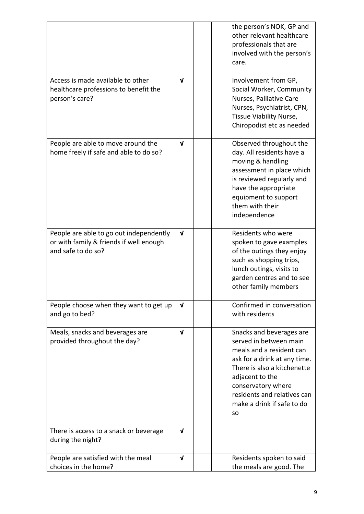|                                                                                                          |              | the person's NOK, GP and<br>other relevant healthcare<br>professionals that are<br>involved with the person's<br>care.                                                                                                                                           |
|----------------------------------------------------------------------------------------------------------|--------------|------------------------------------------------------------------------------------------------------------------------------------------------------------------------------------------------------------------------------------------------------------------|
| Access is made available to other<br>healthcare professions to benefit the<br>person's care?             | $\mathbf{v}$ | Involvement from GP,<br>Social Worker, Community<br>Nurses, Palliative Care<br>Nurses, Psychiatrist, CPN,<br>Tissue Viability Nurse,<br>Chiropodist etc as needed                                                                                                |
| People are able to move around the<br>home freely if safe and able to do so?                             | $\mathbf{v}$ | Observed throughout the<br>day. All residents have a<br>moving & handling<br>assessment in place which<br>is reviewed regularly and<br>have the appropriate<br>equipment to support<br>them with their<br>independence                                           |
| People are able to go out independently<br>or with family & friends if well enough<br>and safe to do so? | $\mathbf v$  | Residents who were<br>spoken to gave examples<br>of the outings they enjoy<br>such as shopping trips,<br>lunch outings, visits to<br>garden centres and to see<br>other family members                                                                           |
| People choose when they want to get up<br>and go to bed?                                                 | V            | Confirmed in conversation<br>with residents                                                                                                                                                                                                                      |
| Meals, snacks and beverages are<br>provided throughout the day?                                          | $\mathbf{v}$ | Snacks and beverages are<br>served in between main<br>meals and a resident can<br>ask for a drink at any time.<br>There is also a kitchenette<br>adjacent to the<br>conservatory where<br>residents and relatives can<br>make a drink if safe to do<br><b>SO</b> |
| There is access to a snack or beverage<br>during the night?                                              | V            |                                                                                                                                                                                                                                                                  |
| People are satisfied with the meal<br>choices in the home?                                               | $\mathbf{v}$ | Residents spoken to said<br>the meals are good. The                                                                                                                                                                                                              |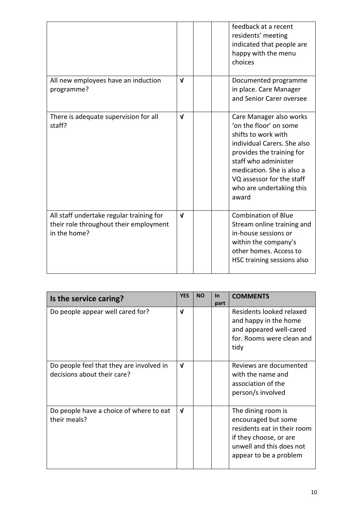|                                                                                                    |              |  | feedback at a recent<br>residents' meeting<br>indicated that people are<br>happy with the menu<br>choices                                                                                                                                                   |
|----------------------------------------------------------------------------------------------------|--------------|--|-------------------------------------------------------------------------------------------------------------------------------------------------------------------------------------------------------------------------------------------------------------|
| All new employees have an induction<br>programme?                                                  | $\mathbf{v}$ |  | Documented programme<br>in place. Care Manager<br>and Senior Carer oversee                                                                                                                                                                                  |
| There is adequate supervision for all<br>staff?                                                    | $\mathbf{v}$ |  | Care Manager also works<br>'on the floor' on some<br>shifts to work with<br>individual Carers. She also<br>provides the training for<br>staff who administer<br>medication. She is also a<br>VQ assessor for the staff<br>who are undertaking this<br>award |
| All staff undertake regular training for<br>their role throughout their employment<br>in the home? | $\mathbf{v}$ |  | <b>Combination of Blue</b><br>Stream online training and<br>in-house sessions or<br>within the company's<br>other homes. Access to<br>HSC training sessions also                                                                                            |

| Is the service caring?                                                  | <b>YES</b>   | <b>NO</b> | $\ln$<br>part | <b>COMMENTS</b>                                                                                                                                          |
|-------------------------------------------------------------------------|--------------|-----------|---------------|----------------------------------------------------------------------------------------------------------------------------------------------------------|
| Do people appear well cared for?                                        | $\mathbf{v}$ |           |               | Residents looked relaxed<br>and happy in the home<br>and appeared well-cared<br>for. Rooms were clean and<br>tidy                                        |
| Do people feel that they are involved in<br>decisions about their care? | $\mathbf{v}$ |           |               | Reviews are documented<br>with the name and<br>association of the<br>person/s involved                                                                   |
| Do people have a choice of where to eat<br>their meals?                 | $\mathbf{v}$ |           |               | The dining room is<br>encouraged but some<br>residents eat in their room<br>if they choose, or are<br>unwell and this does not<br>appear to be a problem |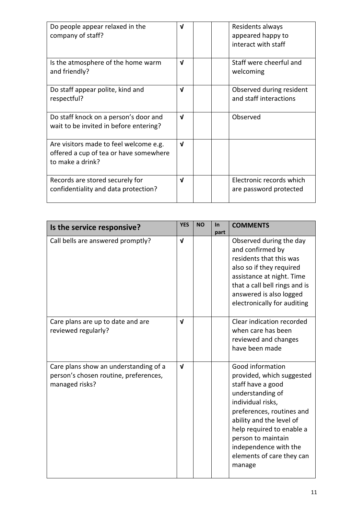| Do people appear relaxed in the<br>company of staff?                                                 | V            |  | Residents always<br>appeared happy to<br>interact with staff |
|------------------------------------------------------------------------------------------------------|--------------|--|--------------------------------------------------------------|
| Is the atmosphere of the home warm<br>and friendly?                                                  | $\mathbf{v}$ |  | Staff were cheerful and<br>welcoming                         |
| Do staff appear polite, kind and<br>respectful?                                                      | V            |  | Observed during resident<br>and staff interactions           |
| Do staff knock on a person's door and<br>wait to be invited in before entering?                      | $\mathbf{v}$ |  | Observed                                                     |
| Are visitors made to feel welcome e.g.<br>offered a cup of tea or have somewhere<br>to make a drink? | $\mathbf{v}$ |  |                                                              |
| Records are stored securely for<br>confidentiality and data protection?                              | $\mathbf{v}$ |  | Electronic records which<br>are password protected           |

| Is the service responsive?                                                                       | <b>YES</b>   | <b>NO</b> | <b>In</b><br>part | <b>COMMENTS</b>                                                                                                                                                                                                                                                                         |
|--------------------------------------------------------------------------------------------------|--------------|-----------|-------------------|-----------------------------------------------------------------------------------------------------------------------------------------------------------------------------------------------------------------------------------------------------------------------------------------|
| Call bells are answered promptly?                                                                | $\mathbf{v}$ |           |                   | Observed during the day<br>and confirmed by<br>residents that this was<br>also so if they required<br>assistance at night. Time<br>that a call bell rings and is<br>answered is also logged<br>electronically for auditing                                                              |
| Care plans are up to date and are<br>reviewed regularly?                                         | V            |           |                   | Clear indication recorded<br>when care has been<br>reviewed and changes<br>have been made                                                                                                                                                                                               |
| Care plans show an understanding of a<br>person's chosen routine, preferences,<br>managed risks? | $\mathbf{v}$ |           |                   | Good information<br>provided, which suggested<br>staff have a good<br>understanding of<br>individual risks,<br>preferences, routines and<br>ability and the level of<br>help required to enable a<br>person to maintain<br>independence with the<br>elements of care they can<br>manage |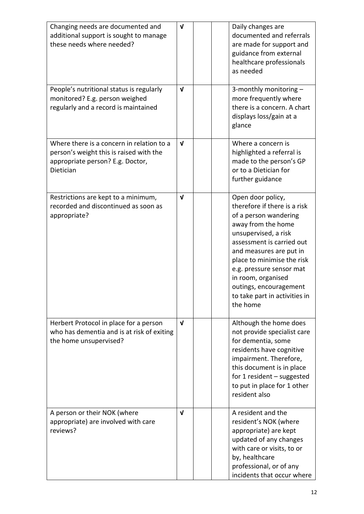| Changing needs are documented and<br>additional support is sought to manage<br>these needs where needed?                              | $\mathbf{v}$ | Daily changes are<br>documented and referrals<br>are made for support and<br>guidance from external<br>healthcare professionals<br>as needed                                                                                                                                                                                            |
|---------------------------------------------------------------------------------------------------------------------------------------|--------------|-----------------------------------------------------------------------------------------------------------------------------------------------------------------------------------------------------------------------------------------------------------------------------------------------------------------------------------------|
| People's nutritional status is regularly<br>monitored? E.g. person weighed<br>regularly and a record is maintained                    | $\mathbf v$  | 3-monthly monitoring -<br>more frequently where<br>there is a concern. A chart<br>displays loss/gain at a<br>glance                                                                                                                                                                                                                     |
| Where there is a concern in relation to a<br>person's weight this is raised with the<br>appropriate person? E.g. Doctor,<br>Dietician | $\mathbf{v}$ | Where a concern is<br>highlighted a referral is<br>made to the person's GP<br>or to a Dietician for<br>further guidance                                                                                                                                                                                                                 |
| Restrictions are kept to a minimum,<br>recorded and discontinued as soon as<br>appropriate?                                           | $\mathbf v$  | Open door policy,<br>therefore if there is a risk<br>of a person wandering<br>away from the home<br>unsupervised, a risk<br>assessment is carried out<br>and measures are put in<br>place to minimise the risk<br>e.g. pressure sensor mat<br>in room, organised<br>outings, encouragement<br>to take part in activities in<br>the home |
| Herbert Protocol in place for a person<br>who has dementia and is at risk of exiting<br>the home unsupervised?                        | $\mathbf{V}$ | Although the home does<br>not provide specialist care<br>for dementia, some<br>residents have cognitive<br>impairment. Therefore,<br>this document is in place<br>for 1 resident $-$ suggested<br>to put in place for 1 other<br>resident also                                                                                          |
| A person or their NOK (where<br>appropriate) are involved with care<br>reviews?                                                       | $\mathbf{v}$ | A resident and the<br>resident's NOK (where<br>appropriate) are kept<br>updated of any changes<br>with care or visits, to or<br>by, healthcare<br>professional, or of any<br>incidents that occur where                                                                                                                                 |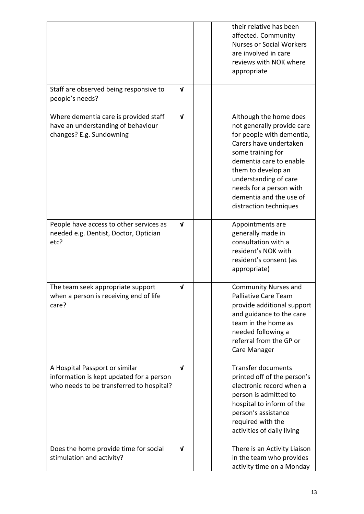|                                                                                                                        |              | their relative has been<br>affected. Community<br><b>Nurses or Social Workers</b><br>are involved in care<br>reviews with NOK where<br>appropriate                                                                                                                                         |
|------------------------------------------------------------------------------------------------------------------------|--------------|--------------------------------------------------------------------------------------------------------------------------------------------------------------------------------------------------------------------------------------------------------------------------------------------|
| Staff are observed being responsive to<br>people's needs?                                                              | $\mathbf v$  |                                                                                                                                                                                                                                                                                            |
| Where dementia care is provided staff<br>have an understanding of behaviour<br>changes? E.g. Sundowning                | $\mathbf{v}$ | Although the home does<br>not generally provide care<br>for people with dementia,<br>Carers have undertaken<br>some training for<br>dementia care to enable<br>them to develop an<br>understanding of care<br>needs for a person with<br>dementia and the use of<br>distraction techniques |
| People have access to other services as<br>needed e.g. Dentist, Doctor, Optician<br>etc?                               | $\mathbf{v}$ | Appointments are<br>generally made in<br>consultation with a<br>resident's NOK with<br>resident's consent (as<br>appropriate)                                                                                                                                                              |
| The team seek appropriate support<br>when a person is receiving end of life<br>care?                                   | $\mathbf v$  | <b>Community Nurses and</b><br><b>Palliative Care Team</b><br>provide additional support<br>and guidance to the care<br>team in the home as<br>needed following a<br>referral from the GP or<br>Care Manager                                                                               |
| A Hospital Passport or similar<br>information is kept updated for a person<br>who needs to be transferred to hospital? | $\mathbf{v}$ | <b>Transfer documents</b><br>printed off of the person's<br>electronic record when a<br>person is admitted to<br>hospital to inform of the<br>person's assistance<br>required with the<br>activities of daily living                                                                       |
| Does the home provide time for social<br>stimulation and activity?                                                     | $\mathbf v$  | There is an Activity Liaison<br>in the team who provides<br>activity time on a Monday                                                                                                                                                                                                      |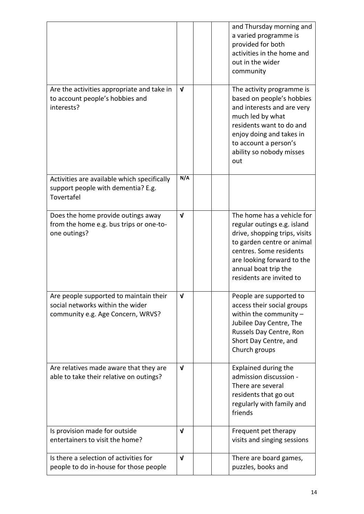|                                                                                                                 |              | and Thursday morning and<br>a varied programme is<br>provided for both<br>activities in the home and<br>out in the wider<br>community                                                                                                 |
|-----------------------------------------------------------------------------------------------------------------|--------------|---------------------------------------------------------------------------------------------------------------------------------------------------------------------------------------------------------------------------------------|
| Are the activities appropriate and take in<br>to account people's hobbies and<br>interests?                     | $\mathbf v$  | The activity programme is<br>based on people's hobbies<br>and interests and are very<br>much led by what<br>residents want to do and<br>enjoy doing and takes in<br>to account a person's<br>ability so nobody misses<br>out          |
| Activities are available which specifically<br>support people with dementia? E.g.<br>Tovertafel                 | N/A          |                                                                                                                                                                                                                                       |
| Does the home provide outings away<br>from the home e.g. bus trips or one-to-<br>one outings?                   | $\mathbf{v}$ | The home has a vehicle for<br>regular outings e.g. island<br>drive, shopping trips, visits<br>to garden centre or animal<br>centres. Some residents<br>are looking forward to the<br>annual boat trip the<br>residents are invited to |
| Are people supported to maintain their<br>social networks within the wider<br>community e.g. Age Concern, WRVS? | V            | People are supported to<br>access their social groups<br>within the community $-$<br>Jubilee Day Centre, The<br>Russels Day Centre, Ron<br>Short Day Centre, and<br>Church groups                                                     |
| Are relatives made aware that they are<br>able to take their relative on outings?                               | $\mathbf v$  | <b>Explained during the</b><br>admission discussion -<br>There are several<br>residents that go out<br>regularly with family and<br>friends                                                                                           |
| Is provision made for outside<br>entertainers to visit the home?                                                | $\mathbf v$  | Frequent pet therapy<br>visits and singing sessions                                                                                                                                                                                   |
| Is there a selection of activities for<br>people to do in-house for those people                                | $\mathbf{v}$ | There are board games,<br>puzzles, books and                                                                                                                                                                                          |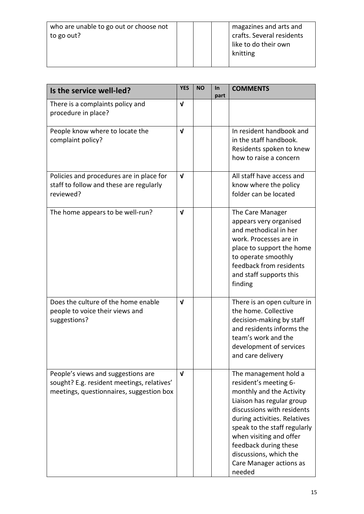| Is the service well-led?                                                                                                     | <b>YES</b>   | <b>NO</b> | In<br>part | <b>COMMENTS</b>                                                                                                                                                                                                                                                                                                          |
|------------------------------------------------------------------------------------------------------------------------------|--------------|-----------|------------|--------------------------------------------------------------------------------------------------------------------------------------------------------------------------------------------------------------------------------------------------------------------------------------------------------------------------|
| There is a complaints policy and<br>procedure in place?                                                                      | $\mathbf v$  |           |            |                                                                                                                                                                                                                                                                                                                          |
| People know where to locate the<br>complaint policy?                                                                         | $\mathbf{v}$ |           |            | In resident handbook and<br>in the staff handbook.<br>Residents spoken to knew<br>how to raise a concern                                                                                                                                                                                                                 |
| Policies and procedures are in place for<br>staff to follow and these are regularly<br>reviewed?                             | $\mathbf v$  |           |            | All staff have access and<br>know where the policy<br>folder can be located                                                                                                                                                                                                                                              |
| The home appears to be well-run?                                                                                             | $\mathbf{v}$ |           |            | The Care Manager<br>appears very organised<br>and methodical in her<br>work. Processes are in<br>place to support the home<br>to operate smoothly<br>feedback from residents<br>and staff supports this<br>finding                                                                                                       |
| Does the culture of the home enable<br>people to voice their views and<br>suggestions?                                       | $\mathbf{v}$ |           |            | There is an open culture in<br>the home. Collective<br>decision-making by staff<br>and residents informs the<br>team's work and the<br>development of services<br>and care delivery                                                                                                                                      |
| People's views and suggestions are<br>sought? E.g. resident meetings, relatives'<br>meetings, questionnaires, suggestion box | $\mathbf{V}$ |           |            | The management hold a<br>resident's meeting 6-<br>monthly and the Activity<br>Liaison has regular group<br>discussions with residents<br>during activities. Relatives<br>speak to the staff regularly<br>when visiting and offer<br>feedback during these<br>discussions, which the<br>Care Manager actions as<br>needed |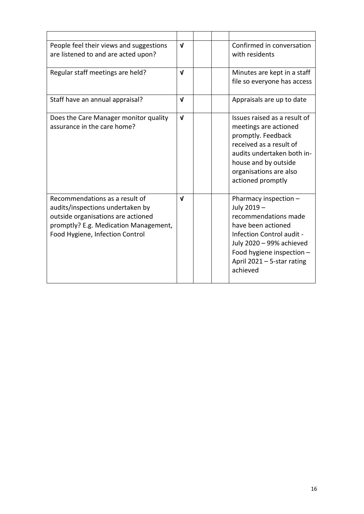| People feel their views and suggestions<br>are listened to and are acted upon?                                                                                                       | $\mathbf{v}$ | Confirmed in conversation<br>with residents                                                                                                                                                                        |
|--------------------------------------------------------------------------------------------------------------------------------------------------------------------------------------|--------------|--------------------------------------------------------------------------------------------------------------------------------------------------------------------------------------------------------------------|
| Regular staff meetings are held?                                                                                                                                                     | $\mathbf{v}$ | Minutes are kept in a staff<br>file so everyone has access                                                                                                                                                         |
| Staff have an annual appraisal?                                                                                                                                                      | $\mathbf{v}$ | Appraisals are up to date                                                                                                                                                                                          |
| Does the Care Manager monitor quality<br>assurance in the care home?                                                                                                                 | $\mathbf{v}$ | Issues raised as a result of<br>meetings are actioned<br>promptly. Feedback<br>received as a result of<br>audits undertaken both in-<br>house and by outside<br>organisations are also<br>actioned promptly        |
| Recommendations as a result of<br>audits/inspections undertaken by<br>outside organisations are actioned<br>promptly? E.g. Medication Management,<br>Food Hygiene, Infection Control | $\mathbf{v}$ | Pharmacy inspection -<br>July 2019 -<br>recommendations made<br>have been actioned<br>Infection Control audit -<br>July 2020 - 99% achieved<br>Food hygiene inspection -<br>April 2021 - 5-star rating<br>achieved |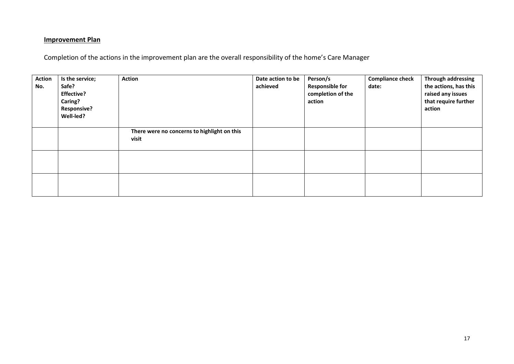#### **Improvement Plan**

Completion of the actions in the improvement plan are the overall responsibility of the home's Care Manager

| <b>Action</b><br>No. | Is the service;<br>Safe?<br><b>Effective?</b><br>Caring?<br><b>Responsive?</b><br>Well-led? | <b>Action</b>                                        | Date action to be<br>achieved | Person/s<br><b>Responsible for</b><br>completion of the<br>action | <b>Compliance check</b><br>date: | Through addressing<br>the actions, has this<br>raised any issues<br>that require further<br>action |
|----------------------|---------------------------------------------------------------------------------------------|------------------------------------------------------|-------------------------------|-------------------------------------------------------------------|----------------------------------|----------------------------------------------------------------------------------------------------|
|                      |                                                                                             | There were no concerns to highlight on this<br>visit |                               |                                                                   |                                  |                                                                                                    |
|                      |                                                                                             |                                                      |                               |                                                                   |                                  |                                                                                                    |
|                      |                                                                                             |                                                      |                               |                                                                   |                                  |                                                                                                    |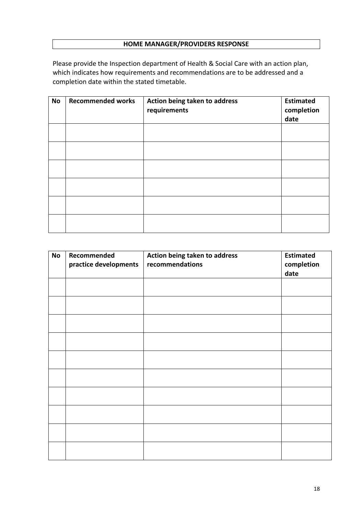# **HOME MANAGER/PROVIDERS RESPONSE**

Please provide the Inspection department of Health & Social Care with an action plan, which indicates how requirements and recommendations are to be addressed and a completion date within the stated timetable.

| <b>No</b> | <b>Recommended works</b> | Action being taken to address<br>requirements | <b>Estimated</b><br>completion<br>date |
|-----------|--------------------------|-----------------------------------------------|----------------------------------------|
|           |                          |                                               |                                        |
|           |                          |                                               |                                        |
|           |                          |                                               |                                        |
|           |                          |                                               |                                        |
|           |                          |                                               |                                        |
|           |                          |                                               |                                        |

| <b>No</b> | Recommended<br>practice developments | Action being taken to address<br>recommendations | <b>Estimated</b><br>completion<br>date |
|-----------|--------------------------------------|--------------------------------------------------|----------------------------------------|
|           |                                      |                                                  |                                        |
|           |                                      |                                                  |                                        |
|           |                                      |                                                  |                                        |
|           |                                      |                                                  |                                        |
|           |                                      |                                                  |                                        |
|           |                                      |                                                  |                                        |
|           |                                      |                                                  |                                        |
|           |                                      |                                                  |                                        |
|           |                                      |                                                  |                                        |
|           |                                      |                                                  |                                        |